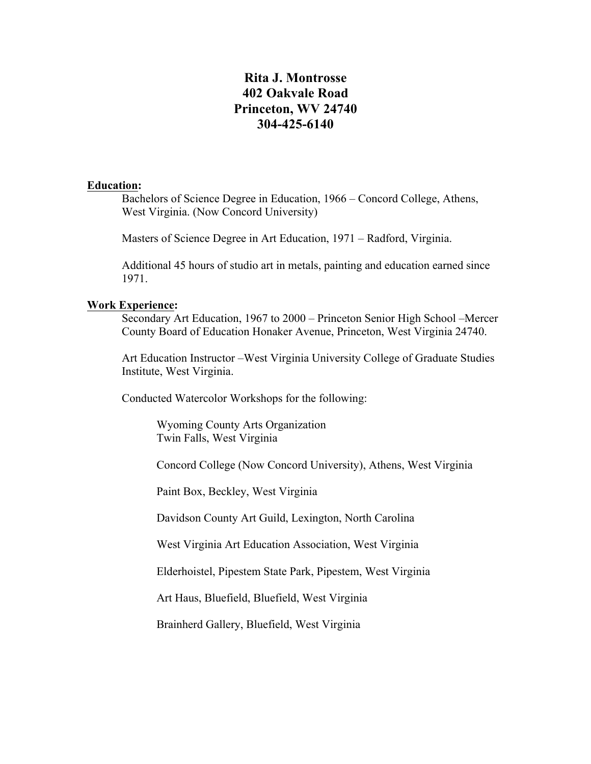# **Rita J. Montrosse 402 Oakvale Road Princeton, WV 24740 304-425-6140**

## **Education:**

Bachelors of Science Degree in Education, 1966 – Concord College, Athens, West Virginia. (Now Concord University)

Masters of Science Degree in Art Education, 1971 – Radford, Virginia.

Additional 45 hours of studio art in metals, painting and education earned since 1971.

#### **Work Experience:**

Secondary Art Education, 1967 to 2000 – Princeton Senior High School –Mercer County Board of Education Honaker Avenue, Princeton, West Virginia 24740.

Art Education Instructor –West Virginia University College of Graduate Studies Institute, West Virginia.

Conducted Watercolor Workshops for the following:

Wyoming County Arts Organization Twin Falls, West Virginia

Concord College (Now Concord University), Athens, West Virginia

Paint Box, Beckley, West Virginia

Davidson County Art Guild, Lexington, North Carolina

West Virginia Art Education Association, West Virginia

Elderhoistel, Pipestem State Park, Pipestem, West Virginia

Art Haus, Bluefield, Bluefield, West Virginia

Brainherd Gallery, Bluefield, West Virginia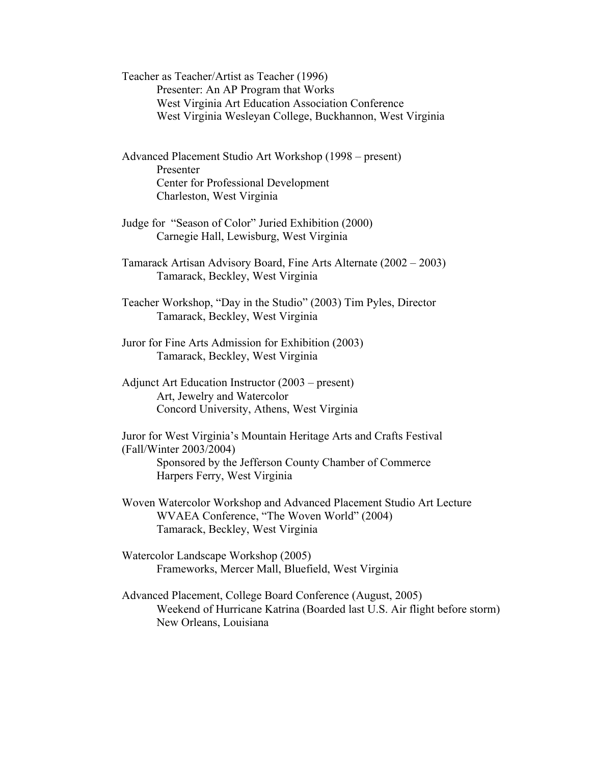Teacher as Teacher/Artist as Teacher (1996) Presenter: An AP Program that Works West Virginia Art Education Association Conference West Virginia Wesleyan College, Buckhannon, West Virginia

Advanced Placement Studio Art Workshop (1998 – present) Presenter Center for Professional Development Charleston, West Virginia

- Judge for "Season of Color" Juried Exhibition (2000) Carnegie Hall, Lewisburg, West Virginia
- Tamarack Artisan Advisory Board, Fine Arts Alternate (2002 2003) Tamarack, Beckley, West Virginia
- Teacher Workshop, "Day in the Studio" (2003) Tim Pyles, Director Tamarack, Beckley, West Virginia
- Juror for Fine Arts Admission for Exhibition (2003) Tamarack, Beckley, West Virginia
- Adjunct Art Education Instructor (2003 present) Art, Jewelry and Watercolor Concord University, Athens, West Virginia

Juror for West Virginia's Mountain Heritage Arts and Crafts Festival (Fall/Winter 2003/2004) Sponsored by the Jefferson County Chamber of Commerce Harpers Ferry, West Virginia

Woven Watercolor Workshop and Advanced Placement Studio Art Lecture WVAEA Conference, "The Woven World" (2004) Tamarack, Beckley, West Virginia

- Watercolor Landscape Workshop (2005) Frameworks, Mercer Mall, Bluefield, West Virginia
- Advanced Placement, College Board Conference (August, 2005) Weekend of Hurricane Katrina (Boarded last U.S. Air flight before storm) New Orleans, Louisiana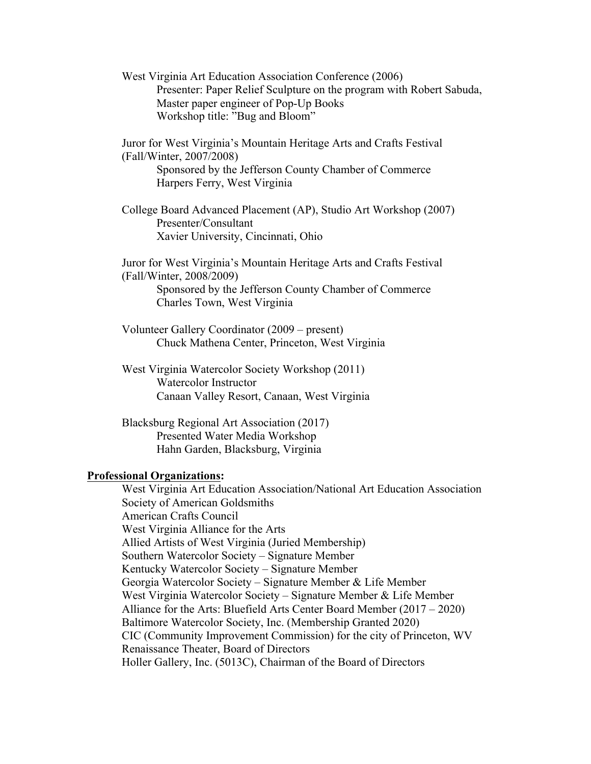West Virginia Art Education Association Conference (2006) Presenter: Paper Relief Sculpture on the program with Robert Sabuda, Master paper engineer of Pop-Up Books Workshop title: "Bug and Bloom"

Juror for West Virginia's Mountain Heritage Arts and Crafts Festival (Fall/Winter, 2007/2008) Sponsored by the Jefferson County Chamber of Commerce Harpers Ferry, West Virginia

College Board Advanced Placement (AP), Studio Art Workshop (2007) Presenter/Consultant Xavier University, Cincinnati, Ohio

Juror for West Virginia's Mountain Heritage Arts and Crafts Festival (Fall/Winter, 2008/2009) Sponsored by the Jefferson County Chamber of Commerce Charles Town, West Virginia

Volunteer Gallery Coordinator (2009 – present) Chuck Mathena Center, Princeton, West Virginia

West Virginia Watercolor Society Workshop (2011) Watercolor Instructor Canaan Valley Resort, Canaan, West Virginia

Blacksburg Regional Art Association (2017) Presented Water Media Workshop Hahn Garden, Blacksburg, Virginia

### **Professional Organizations:**

West Virginia Art Education Association/National Art Education Association Society of American Goldsmiths American Crafts Council West Virginia Alliance for the Arts Allied Artists of West Virginia (Juried Membership) Southern Watercolor Society – Signature Member Kentucky Watercolor Society – Signature Member Georgia Watercolor Society – Signature Member & Life Member West Virginia Watercolor Society – Signature Member & Life Member Alliance for the Arts: Bluefield Arts Center Board Member (2017 – 2020) Baltimore Watercolor Society, Inc. (Membership Granted 2020) CIC (Community Improvement Commission) for the city of Princeton, WV Renaissance Theater, Board of Directors Holler Gallery, Inc. (5013C), Chairman of the Board of Directors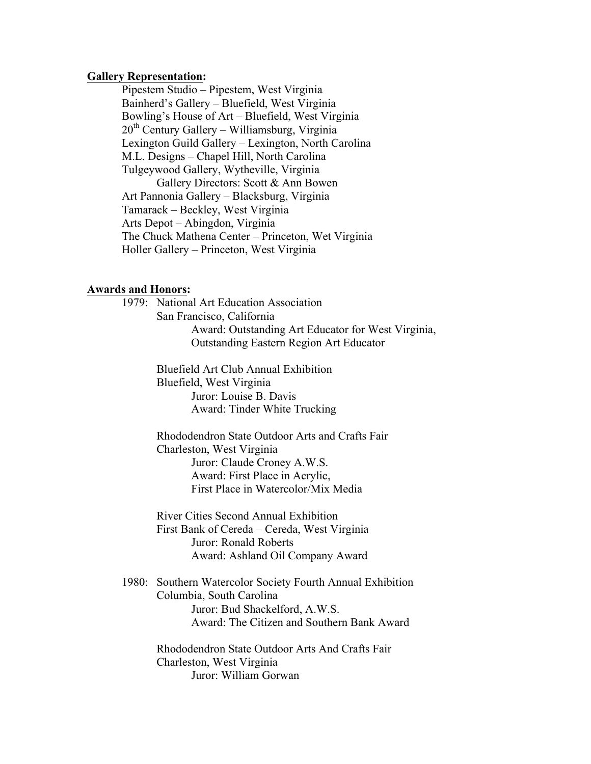#### **Gallery Representation:**

Pipestem Studio – Pipestem, West Virginia Bainherd's Gallery – Bluefield, West Virginia Bowling's House of Art – Bluefield, West Virginia  $20<sup>th</sup>$  Century Gallery – Williamsburg, Virginia Lexington Guild Gallery – Lexington, North Carolina M.L. Designs – Chapel Hill, North Carolina Tulgeywood Gallery, Wytheville, Virginia Gallery Directors: Scott & Ann Bowen Art Pannonia Gallery – Blacksburg, Virginia Tamarack – Beckley, West Virginia Arts Depot – Abingdon, Virginia The Chuck Mathena Center – Princeton, Wet Virginia Holler Gallery – Princeton, West Virginia

#### **Awards and Honors:**

1979: National Art Education Association San Francisco, California Award: Outstanding Art Educator for West Virginia, Outstanding Eastern Region Art Educator

> Bluefield Art Club Annual Exhibition Bluefield, West Virginia Juror: Louise B. Davis Award: Tinder White Trucking

Rhododendron State Outdoor Arts and Crafts Fair Charleston, West Virginia Juror: Claude Croney A.W.S. Award: First Place in Acrylic, First Place in Watercolor/Mix Media

River Cities Second Annual Exhibition First Bank of Cereda – Cereda, West Virginia Juror: Ronald Roberts Award: Ashland Oil Company Award

1980: Southern Watercolor Society Fourth Annual Exhibition Columbia, South Carolina Juror: Bud Shackelford, A.W.S. Award: The Citizen and Southern Bank Award

> Rhododendron State Outdoor Arts And Crafts Fair Charleston, West Virginia Juror: William Gorwan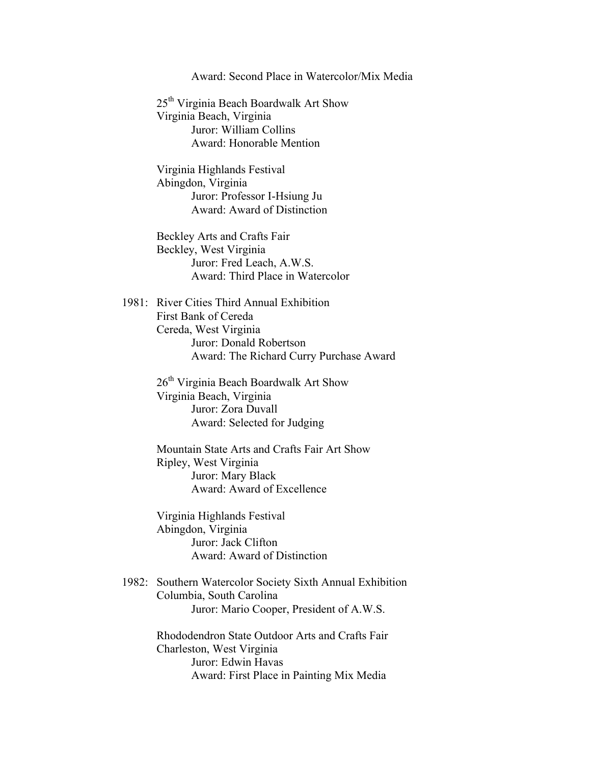#### Award: Second Place in Watercolor/Mix Media

25th Virginia Beach Boardwalk Art Show Virginia Beach, Virginia Juror: William Collins Award: Honorable Mention

Virginia Highlands Festival Abingdon, Virginia Juror: Professor I-Hsiung Ju Award: Award of Distinction

Beckley Arts and Crafts Fair Beckley, West Virginia Juror: Fred Leach, A.W.S. Award: Third Place in Watercolor

1981: River Cities Third Annual Exhibition First Bank of Cereda Cereda, West Virginia Juror: Donald Robertson Award: The Richard Curry Purchase Award

> 26<sup>th</sup> Virginia Beach Boardwalk Art Show Virginia Beach, Virginia Juror: Zora Duvall Award: Selected for Judging

Mountain State Arts and Crafts Fair Art Show Ripley, West Virginia Juror: Mary Black Award: Award of Excellence

Virginia Highlands Festival Abingdon, Virginia Juror: Jack Clifton Award: Award of Distinction

1982: Southern Watercolor Society Sixth Annual Exhibition Columbia, South Carolina Juror: Mario Cooper, President of A.W.S.

> Rhododendron State Outdoor Arts and Crafts Fair Charleston, West Virginia Juror: Edwin Havas Award: First Place in Painting Mix Media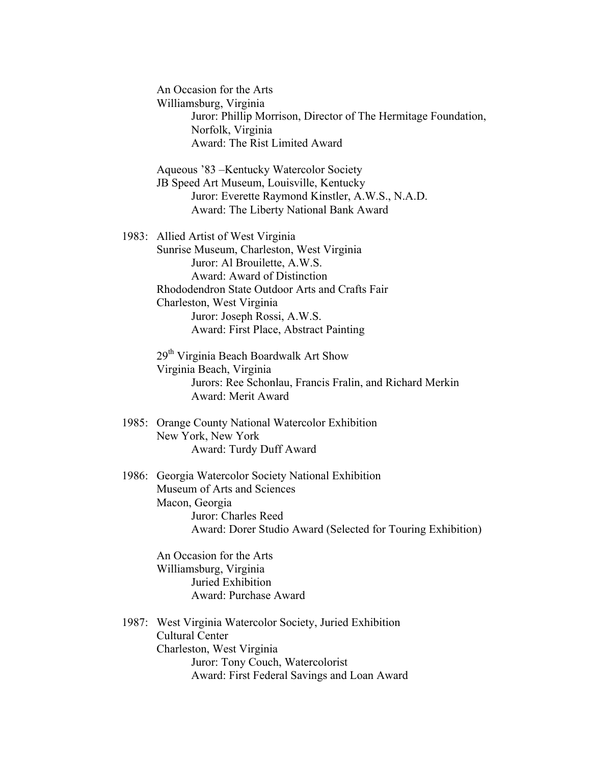An Occasion for the Arts Williamsburg, Virginia Juror: Phillip Morrison, Director of The Hermitage Foundation, Norfolk, Virginia Award: The Rist Limited Award

Aqueous '83 –Kentucky Watercolor Society JB Speed Art Museum, Louisville, Kentucky Juror: Everette Raymond Kinstler, A.W.S., N.A.D. Award: The Liberty National Bank Award

1983: Allied Artist of West Virginia Sunrise Museum, Charleston, West Virginia Juror: Al Brouilette, A.W.S. Award: Award of Distinction Rhododendron State Outdoor Arts and Crafts Fair Charleston, West Virginia Juror: Joseph Rossi, A.W.S. Award: First Place, Abstract Painting

> 29th Virginia Beach Boardwalk Art Show Virginia Beach, Virginia Jurors: Ree Schonlau, Francis Fralin, and Richard Merkin Award: Merit Award

- 1985: Orange County National Watercolor Exhibition New York, New York Award: Turdy Duff Award
- 1986: Georgia Watercolor Society National Exhibition Museum of Arts and Sciences Macon, Georgia Juror: Charles Reed Award: Dorer Studio Award (Selected for Touring Exhibition)

An Occasion for the Arts Williamsburg, Virginia Juried Exhibition Award: Purchase Award

1987: West Virginia Watercolor Society, Juried Exhibition Cultural Center Charleston, West Virginia Juror: Tony Couch, Watercolorist Award: First Federal Savings and Loan Award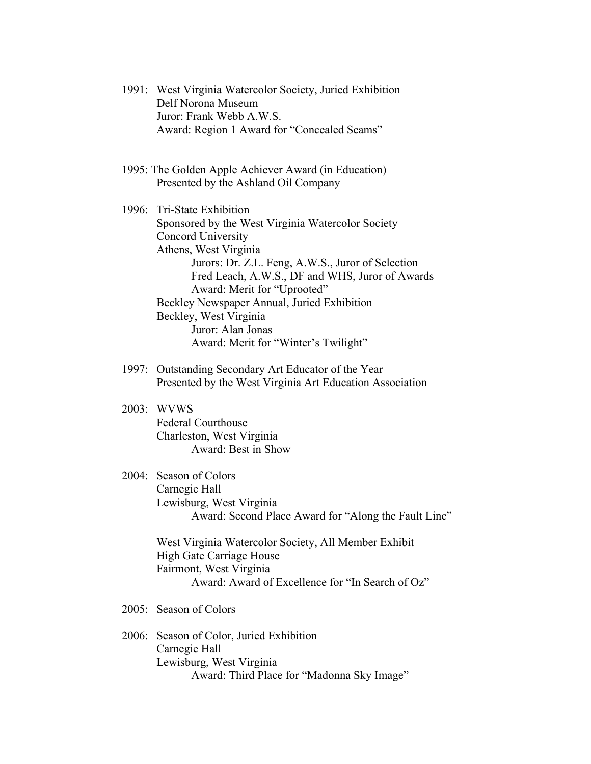- 1991: West Virginia Watercolor Society, Juried Exhibition Delf Norona Museum Juror: Frank Webb A.W.S. Award: Region 1 Award for "Concealed Seams"
- 1995: The Golden Apple Achiever Award (in Education) Presented by the Ashland Oil Company

1996: Tri-State Exhibition Sponsored by the West Virginia Watercolor Society Concord University Athens, West Virginia Jurors: Dr. Z.L. Feng, A.W.S., Juror of Selection Fred Leach, A.W.S., DF and WHS, Juror of Awards Award: Merit for "Uprooted" Beckley Newspaper Annual, Juried Exhibition Beckley, West Virginia Juror: Alan Jonas Award: Merit for "Winter's Twilight"

- 1997: Outstanding Secondary Art Educator of the Year Presented by the West Virginia Art Education Association
- 2003: WVWS Federal Courthouse Charleston, West Virginia Award: Best in Show
- 2004: Season of Colors Carnegie Hall Lewisburg, West Virginia Award: Second Place Award for "Along the Fault Line"

West Virginia Watercolor Society, All Member Exhibit High Gate Carriage House Fairmont, West Virginia Award: Award of Excellence for "In Search of Oz"

- 2005: Season of Colors
- 2006: Season of Color, Juried Exhibition Carnegie Hall Lewisburg, West Virginia Award: Third Place for "Madonna Sky Image"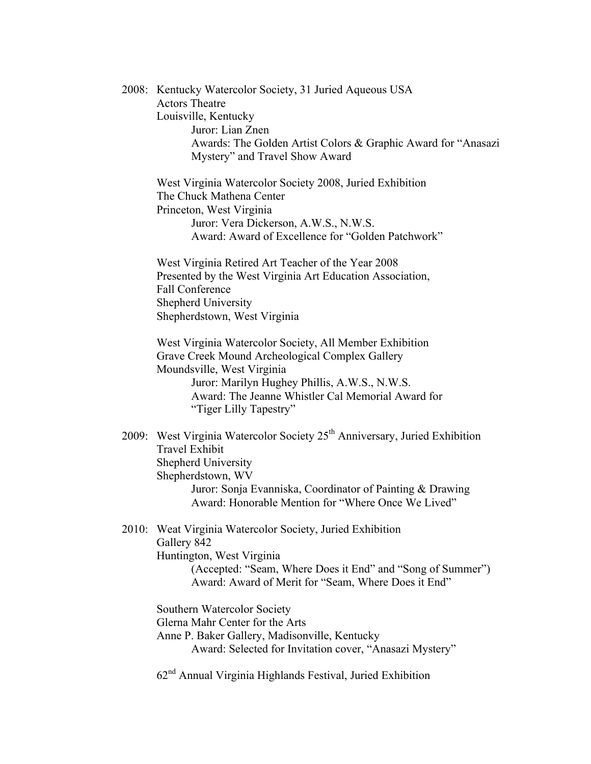2008: Kentucky Watercolor Society, 31 Juried Aqueous USA Actors Theatre Louisville, Kentucky Juror: Lian Znen Awards: The Golden Artist Colors & Graphic Award for "Anasazi Mystery" and Travel Show Award West Virginia Watercolor Society 2008, Juried Exhibition The Chuck Mathena Center Princeton, West Virginia Juror: Vera Dickerson, A.W.S., N.W.S. Award: Award of Excellence for "Golden Patchwork" West Virginia Retired Art Teacher of the Year 2008 Presented by the West Virginia Art Education Association, Fall Conference Shepherd University Shepherdstown, West Virginia West Virginia Watercolor Society, All Member Exhibition Grave Creek Mound Archeological Complex Gallery Moundsville, West Virginia Juror: Marilyn Hughey Phillis, A.W.S., N.W.S. Award: The Jeanne Whistler Cal Memorial Award for "Tiger Lilly Tapestry" 2009: West Virginia Watercolor Society 25<sup>th</sup> Anniversary, Juried Exhibition Travel Exhibit Shepherd University Shepherdstown, WV Juror: Sonja Evanniska, Coordinator of Painting & Drawing Award: Honorable Mention for "Where Once We Lived" 2010: Weat Virginia Watercolor Society, Juried Exhibition Gallery 842 Huntington, West Virginia (Accepted: "Seam, Where Does it End" and "Song of Summer") Award: Award of Merit for "Seam, Where Does it End" Southern Watercolor Society Glerna Mahr Center for the Arts Anne P. Baker Gallery, Madisonville, Kentucky Award: Selected for Invitation cover, "Anasazi Mystery"

 $62<sup>nd</sup>$  Annual Virginia Highlands Festival, Juried Exhibition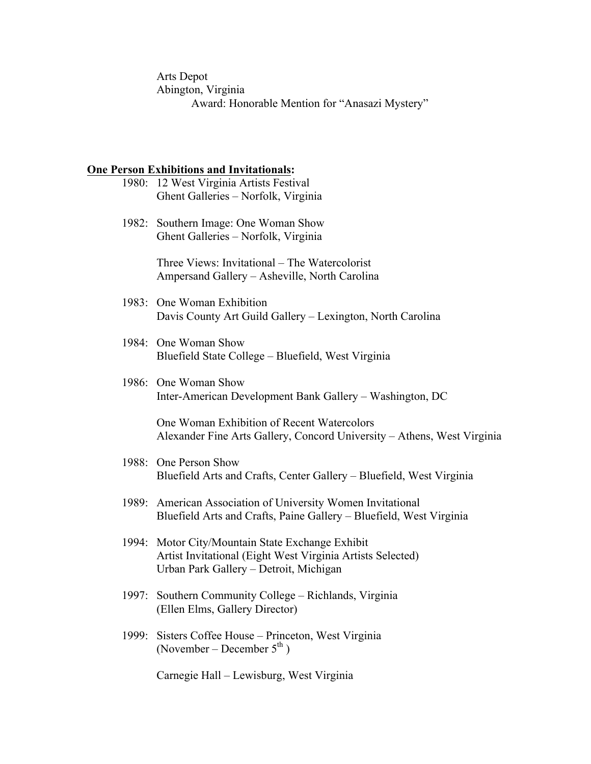Arts Depot Abington, Virginia Award: Honorable Mention for "Anasazi Mystery"

## **One Person Exhibitions and Invitationals:**

|       | 1980: 12 West Virginia Artists Festival<br>Ghent Galleries - Norfolk, Virginia                                                                           |
|-------|----------------------------------------------------------------------------------------------------------------------------------------------------------|
|       | 1982: Southern Image: One Woman Show<br>Ghent Galleries - Norfolk, Virginia                                                                              |
|       | Three Views: Invitational – The Watercolorist<br>Ampersand Gallery - Asheville, North Carolina                                                           |
|       | 1983: One Woman Exhibition<br>Davis County Art Guild Gallery - Lexington, North Carolina                                                                 |
|       | 1984: One Woman Show<br>Bluefield State College – Bluefield, West Virginia                                                                               |
|       | 1986: One Woman Show<br>Inter-American Development Bank Gallery – Washington, DC                                                                         |
|       | One Woman Exhibition of Recent Watercolors<br>Alexander Fine Arts Gallery, Concord University – Athens, West Virginia                                    |
|       | 1988: One Person Show<br>Bluefield Arts and Crafts, Center Gallery – Bluefield, West Virginia                                                            |
|       | 1989: American Association of University Women Invitational<br>Bluefield Arts and Crafts, Paine Gallery - Bluefield, West Virginia                       |
|       | 1994: Motor City/Mountain State Exchange Exhibit<br>Artist Invitational (Eight West Virginia Artists Selected)<br>Urban Park Gallery - Detroit, Michigan |
|       | 1997: Southern Community College – Richlands, Virginia<br>(Ellen Elms, Gallery Director)                                                                 |
| 1999: | Sisters Coffee House - Princeton, West Virginia<br>(November – December $5^{\text{th}}$ )                                                                |
|       | Carnegie Hall - Lewisburg, West Virginia                                                                                                                 |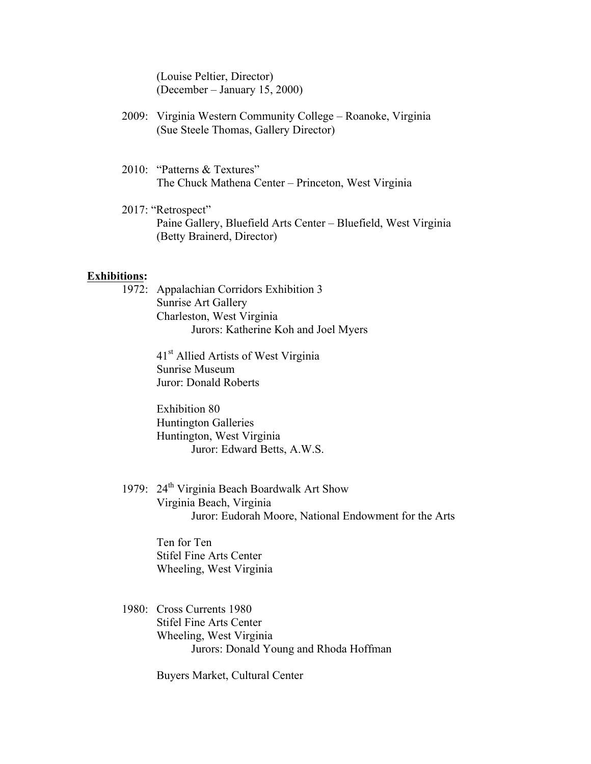(Louise Peltier, Director) (December – January 15, 2000)

- 2009: Virginia Western Community College Roanoke, Virginia (Sue Steele Thomas, Gallery Director)
- 2010: "Patterns & Textures" The Chuck Mathena Center – Princeton, West Virginia
- 2017: "Retrospect" Paine Gallery, Bluefield Arts Center – Bluefield, West Virginia (Betty Brainerd, Director)

### **Exhibitions:**

1972: Appalachian Corridors Exhibition 3 Sunrise Art Gallery Charleston, West Virginia Jurors: Katherine Koh and Joel Myers

> 41<sup>st</sup> Allied Artists of West Virginia Sunrise Museum Juror: Donald Roberts

Exhibition 80 Huntington Galleries Huntington, West Virginia Juror: Edward Betts, A.W.S.

1979: 24<sup>th</sup> Virginia Beach Boardwalk Art Show Virginia Beach, Virginia Juror: Eudorah Moore, National Endowment for the Arts

> Ten for Ten Stifel Fine Arts Center Wheeling, West Virginia

1980: Cross Currents 1980 Stifel Fine Arts Center Wheeling, West Virginia Jurors: Donald Young and Rhoda Hoffman

Buyers Market, Cultural Center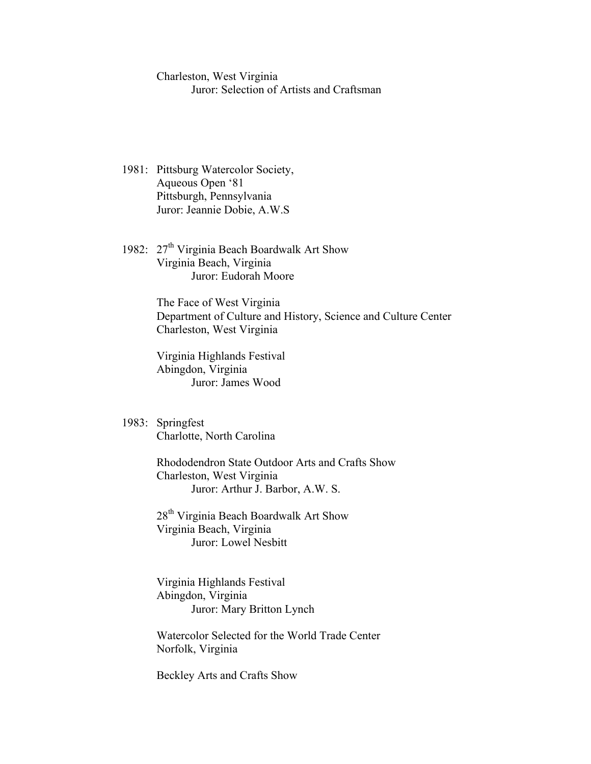Charleston, West Virginia Juror: Selection of Artists and Craftsman

- 1981: Pittsburg Watercolor Society, Aqueous Open '81 Pittsburgh, Pennsylvania Juror: Jeannie Dobie, A.W.S
- 1982: 27<sup>th</sup> Virginia Beach Boardwalk Art Show Virginia Beach, Virginia Juror: Eudorah Moore

The Face of West Virginia Department of Culture and History, Science and Culture Center Charleston, West Virginia

Virginia Highlands Festival Abingdon, Virginia Juror: James Wood

1983: Springfest Charlotte, North Carolina

> Rhododendron State Outdoor Arts and Crafts Show Charleston, West Virginia Juror: Arthur J. Barbor, A.W. S.

28<sup>th</sup> Virginia Beach Boardwalk Art Show Virginia Beach, Virginia Juror: Lowel Nesbitt

Virginia Highlands Festival Abingdon, Virginia Juror: Mary Britton Lynch

Watercolor Selected for the World Trade Center Norfolk, Virginia

Beckley Arts and Crafts Show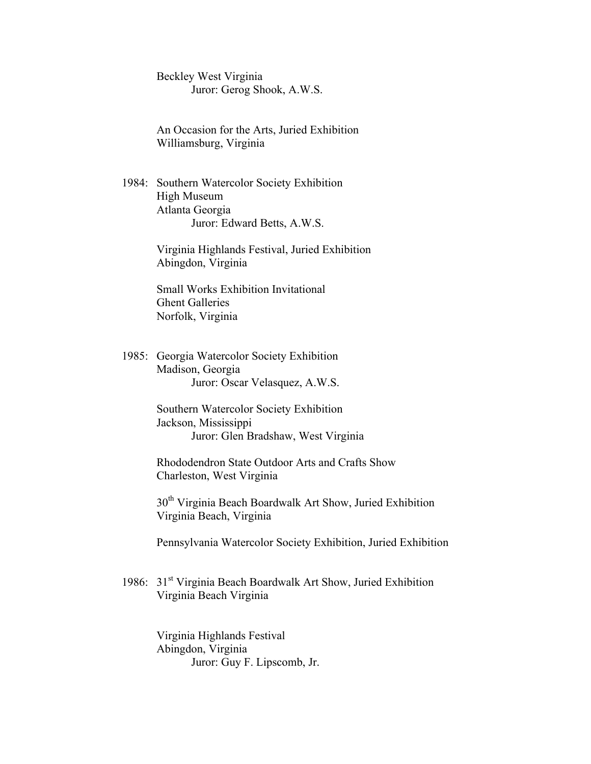Beckley West Virginia Juror: Gerog Shook, A.W.S.

An Occasion for the Arts, Juried Exhibition Williamsburg, Virginia

1984: Southern Watercolor Society Exhibition High Museum Atlanta Georgia Juror: Edward Betts, A.W.S.

> Virginia Highlands Festival, Juried Exhibition Abingdon, Virginia

Small Works Exhibition Invitational Ghent Galleries Norfolk, Virginia

1985: Georgia Watercolor Society Exhibition Madison, Georgia Juror: Oscar Velasquez, A.W.S.

> Southern Watercolor Society Exhibition Jackson, Mississippi Juror: Glen Bradshaw, West Virginia

Rhododendron State Outdoor Arts and Crafts Show Charleston, West Virginia

30<sup>th</sup> Virginia Beach Boardwalk Art Show, Juried Exhibition Virginia Beach, Virginia

Pennsylvania Watercolor Society Exhibition, Juried Exhibition

1986: 31<sup>st</sup> Virginia Beach Boardwalk Art Show, Juried Exhibition Virginia Beach Virginia

> Virginia Highlands Festival Abingdon, Virginia Juror: Guy F. Lipscomb, Jr.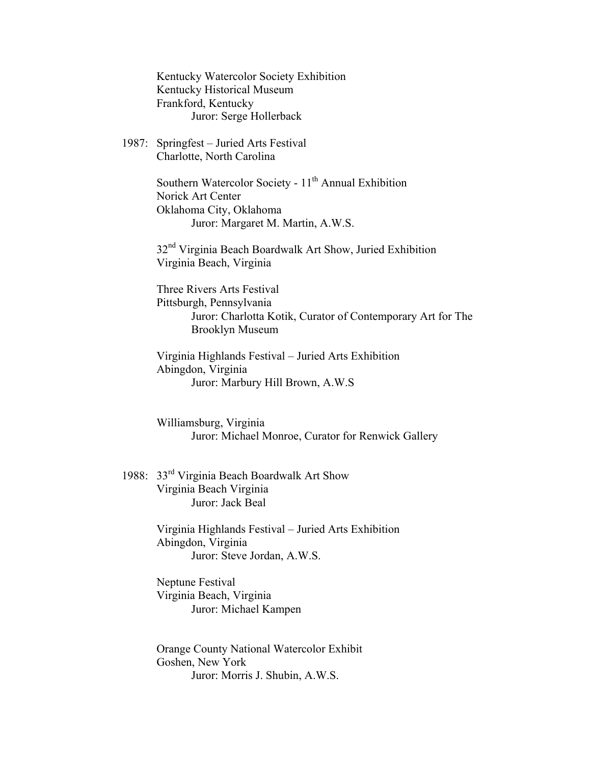Kentucky Watercolor Society Exhibition Kentucky Historical Museum Frankford, Kentucky Juror: Serge Hollerback

1987: Springfest – Juried Arts Festival Charlotte, North Carolina

> Southern Watercolor Society -  $11<sup>th</sup>$  Annual Exhibition Norick Art Center Oklahoma City, Oklahoma Juror: Margaret M. Martin, A.W.S.

32<sup>nd</sup> Virginia Beach Boardwalk Art Show, Juried Exhibition Virginia Beach, Virginia

Three Rivers Arts Festival Pittsburgh, Pennsylvania Juror: Charlotta Kotik, Curator of Contemporary Art for The Brooklyn Museum

Virginia Highlands Festival – Juried Arts Exhibition Abingdon, Virginia Juror: Marbury Hill Brown, A.W.S

Williamsburg, Virginia Juror: Michael Monroe, Curator for Renwick Gallery

1988: 33rd Virginia Beach Boardwalk Art Show Virginia Beach Virginia Juror: Jack Beal

> Virginia Highlands Festival – Juried Arts Exhibition Abingdon, Virginia Juror: Steve Jordan, A.W.S.

Neptune Festival Virginia Beach, Virginia Juror: Michael Kampen

Orange County National Watercolor Exhibit Goshen, New York Juror: Morris J. Shubin, A.W.S.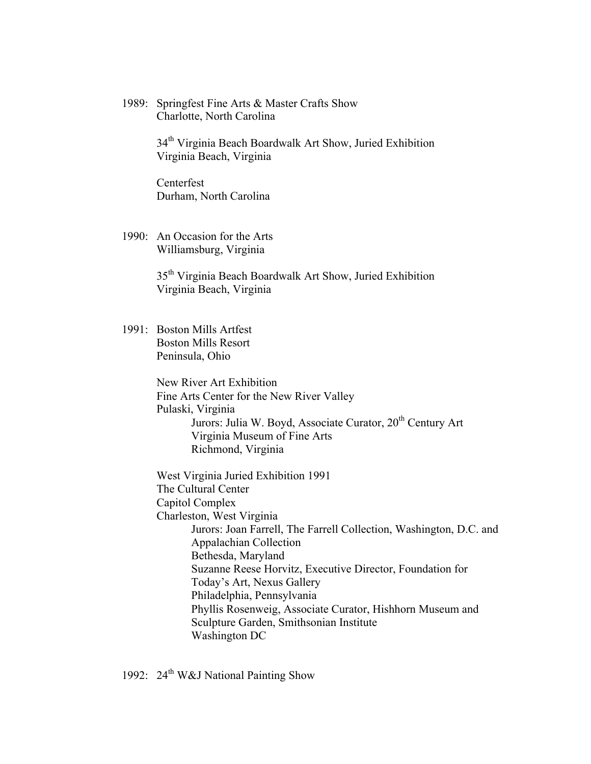1989: Springfest Fine Arts & Master Crafts Show Charlotte, North Carolina

> 34<sup>th</sup> Virginia Beach Boardwalk Art Show, Juried Exhibition Virginia Beach, Virginia

Centerfest Durham, North Carolina

1990: An Occasion for the Arts Williamsburg, Virginia

> 35th Virginia Beach Boardwalk Art Show, Juried Exhibition Virginia Beach, Virginia

1991: Boston Mills Artfest Boston Mills Resort Peninsula, Ohio

> New River Art Exhibition Fine Arts Center for the New River Valley Pulaski, Virginia Jurors: Julia W. Boyd, Associate Curator, 20<sup>th</sup> Century Art Virginia Museum of Fine Arts Richmond, Virginia

West Virginia Juried Exhibition 1991 The Cultural Center Capitol Complex Charleston, West Virginia Jurors: Joan Farrell, The Farrell Collection, Washington, D.C. and Appalachian Collection Bethesda, Maryland Suzanne Reese Horvitz, Executive Director, Foundation for Today's Art, Nexus Gallery Philadelphia, Pennsylvania Phyllis Rosenweig, Associate Curator, Hishhorn Museum and Sculpture Garden, Smithsonian Institute Washington DC

1992:  $24^{\text{th}}$  W&J National Painting Show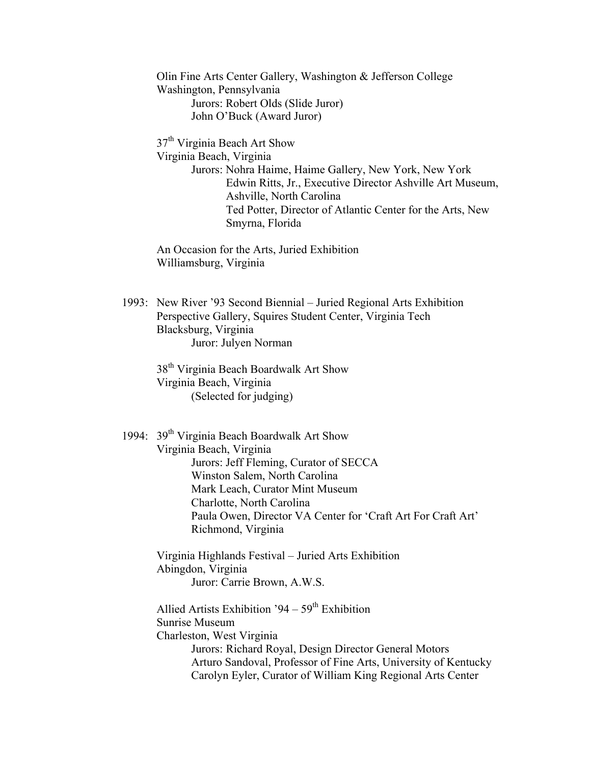Olin Fine Arts Center Gallery, Washington & Jefferson College Washington, Pennsylvania Jurors: Robert Olds (Slide Juror) John O'Buck (Award Juror)

37<sup>th</sup> Virginia Beach Art Show Virginia Beach, Virginia Jurors: Nohra Haime, Haime Gallery, New York, New York Edwin Ritts, Jr., Executive Director Ashville Art Museum, Ashville, North Carolina Ted Potter, Director of Atlantic Center for the Arts, New Smyrna, Florida

An Occasion for the Arts, Juried Exhibition Williamsburg, Virginia

1993: New River '93 Second Biennial – Juried Regional Arts Exhibition Perspective Gallery, Squires Student Center, Virginia Tech Blacksburg, Virginia Juror: Julyen Norman

38th Virginia Beach Boardwalk Art Show Virginia Beach, Virginia (Selected for judging)

1994: 39<sup>th</sup> Virginia Beach Boardwalk Art Show Virginia Beach, Virginia Jurors: Jeff Fleming, Curator of SECCA Winston Salem, North Carolina Mark Leach, Curator Mint Museum Charlotte, North Carolina Paula Owen, Director VA Center for 'Craft Art For Craft Art' Richmond, Virginia

Virginia Highlands Festival – Juried Arts Exhibition Abingdon, Virginia Juror: Carrie Brown, A.W.S.

Allied Artists Exhibition '94 –  $59<sup>th</sup>$  Exhibition Sunrise Museum Charleston, West Virginia Jurors: Richard Royal, Design Director General Motors Arturo Sandoval, Professor of Fine Arts, University of Kentucky Carolyn Eyler, Curator of William King Regional Arts Center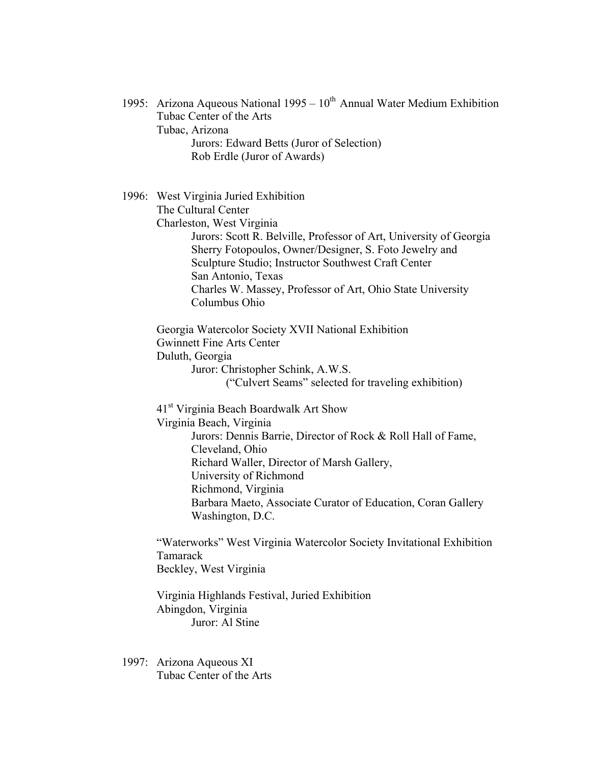1995: Arizona Aqueous National 1995 –  $10^{th}$  Annual Water Medium Exhibition Tubac Center of the Arts Tubac, Arizona Jurors: Edward Betts (Juror of Selection) Rob Erdle (Juror of Awards) 1996: West Virginia Juried Exhibition The Cultural Center Charleston, West Virginia Jurors: Scott R. Belville, Professor of Art, University of Georgia Sherry Fotopoulos, Owner/Designer, S. Foto Jewelry and Sculpture Studio; Instructor Southwest Craft Center San Antonio, Texas Charles W. Massey, Professor of Art, Ohio State University Columbus Ohio Georgia Watercolor Society XVII National Exhibition Gwinnett Fine Arts Center Duluth, Georgia Juror: Christopher Schink, A.W.S. ("Culvert Seams" selected for traveling exhibition) 41st Virginia Beach Boardwalk Art Show Virginia Beach, Virginia Jurors: Dennis Barrie, Director of Rock & Roll Hall of Fame, Cleveland, Ohio Richard Waller, Director of Marsh Gallery, University of Richmond Richmond, Virginia Barbara Maeto, Associate Curator of Education, Coran Gallery Washington, D.C. "Waterworks" West Virginia Watercolor Society Invitational Exhibition Tamarack Beckley, West Virginia Virginia Highlands Festival, Juried Exhibition Abingdon, Virginia Juror: Al Stine 1997: Arizona Aqueous XI Tubac Center of the Arts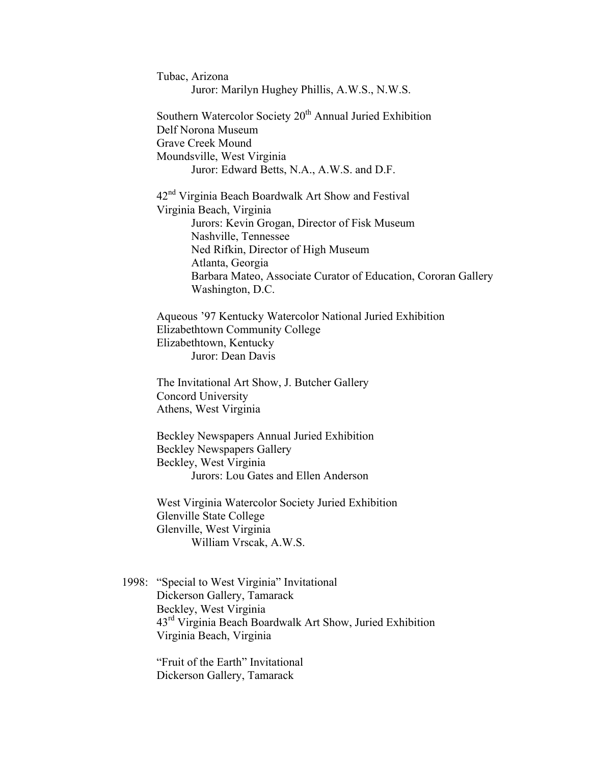Tubac, Arizona Juror: Marilyn Hughey Phillis, A.W.S., N.W.S. Southern Watercolor Society 20<sup>th</sup> Annual Juried Exhibition Delf Norona Museum Grave Creek Mound Moundsville, West Virginia Juror: Edward Betts, N.A., A.W.S. and D.F. 42nd Virginia Beach Boardwalk Art Show and Festival Virginia Beach, Virginia Jurors: Kevin Grogan, Director of Fisk Museum Nashville, Tennessee Ned Rifkin, Director of High Museum Atlanta, Georgia Barbara Mateo, Associate Curator of Education, Cororan Gallery Washington, D.C. Aqueous '97 Kentucky Watercolor National Juried Exhibition Elizabethtown Community College Elizabethtown, Kentucky Juror: Dean Davis The Invitational Art Show, J. Butcher Gallery Concord University Athens, West Virginia Beckley Newspapers Annual Juried Exhibition Beckley Newspapers Gallery Beckley, West Virginia Jurors: Lou Gates and Ellen Anderson West Virginia Watercolor Society Juried Exhibition Glenville State College Glenville, West Virginia William Vrscak, A.W.S.

1998: "Special to West Virginia" Invitational Dickerson Gallery, Tamarack Beckley, West Virginia 43rd Virginia Beach Boardwalk Art Show, Juried Exhibition Virginia Beach, Virginia

> "Fruit of the Earth" Invitational Dickerson Gallery, Tamarack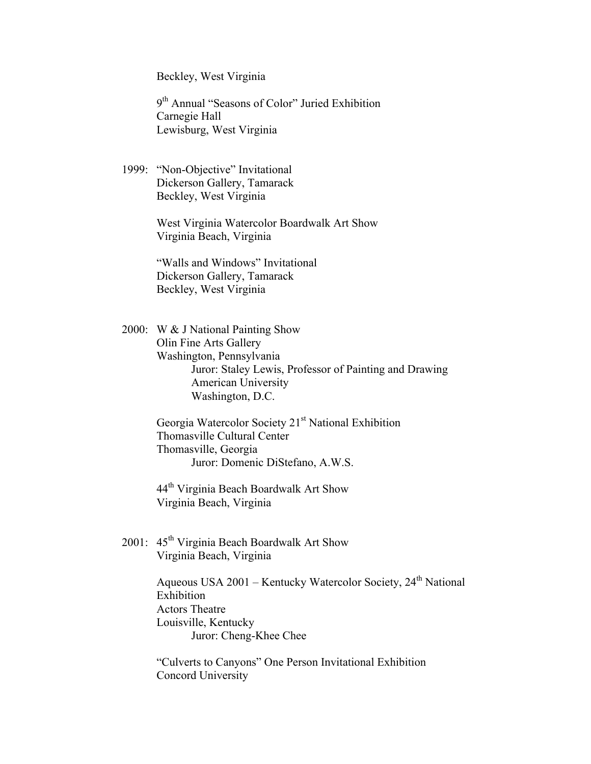Beckley, West Virginia

9th Annual "Seasons of Color" Juried Exhibition Carnegie Hall Lewisburg, West Virginia

1999: "Non-Objective" Invitational Dickerson Gallery, Tamarack Beckley, West Virginia

> West Virginia Watercolor Boardwalk Art Show Virginia Beach, Virginia

"Walls and Windows" Invitational Dickerson Gallery, Tamarack Beckley, West Virginia

2000: W & J National Painting Show Olin Fine Arts Gallery Washington, Pennsylvania Juror: Staley Lewis, Professor of Painting and Drawing American University Washington, D.C.

> Georgia Watercolor Society 21<sup>st</sup> National Exhibition Thomasville Cultural Center Thomasville, Georgia Juror: Domenic DiStefano, A.W.S.

44<sup>th</sup> Virginia Beach Boardwalk Art Show Virginia Beach, Virginia

2001:  $45<sup>th</sup> Virginia Beach Board$  Boardwalk Art Show Virginia Beach, Virginia

> Aqueous USA  $2001$  – Kentucky Watercolor Society,  $24<sup>th</sup>$  National Exhibition Actors Theatre Louisville, Kentucky Juror: Cheng-Khee Chee

"Culverts to Canyons" One Person Invitational Exhibition Concord University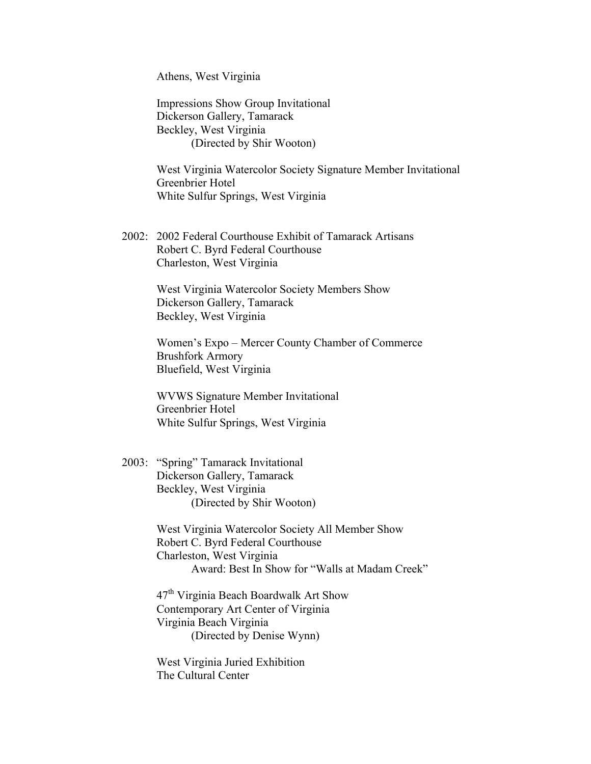Athens, West Virginia

Impressions Show Group Invitational Dickerson Gallery, Tamarack Beckley, West Virginia (Directed by Shir Wooton)

West Virginia Watercolor Society Signature Member Invitational Greenbrier Hotel White Sulfur Springs, West Virginia

2002: 2002 Federal Courthouse Exhibit of Tamarack Artisans Robert C. Byrd Federal Courthouse Charleston, West Virginia

> West Virginia Watercolor Society Members Show Dickerson Gallery, Tamarack Beckley, West Virginia

Women's Expo – Mercer County Chamber of Commerce Brushfork Armory Bluefield, West Virginia

WVWS Signature Member Invitational Greenbrier Hotel White Sulfur Springs, West Virginia

2003: "Spring" Tamarack Invitational Dickerson Gallery, Tamarack Beckley, West Virginia (Directed by Shir Wooton)

> West Virginia Watercolor Society All Member Show Robert C. Byrd Federal Courthouse Charleston, West Virginia Award: Best In Show for "Walls at Madam Creek"

 $47<sup>th</sup>$  Virginia Beach Boardwalk Art Show Contemporary Art Center of Virginia Virginia Beach Virginia (Directed by Denise Wynn)

West Virginia Juried Exhibition The Cultural Center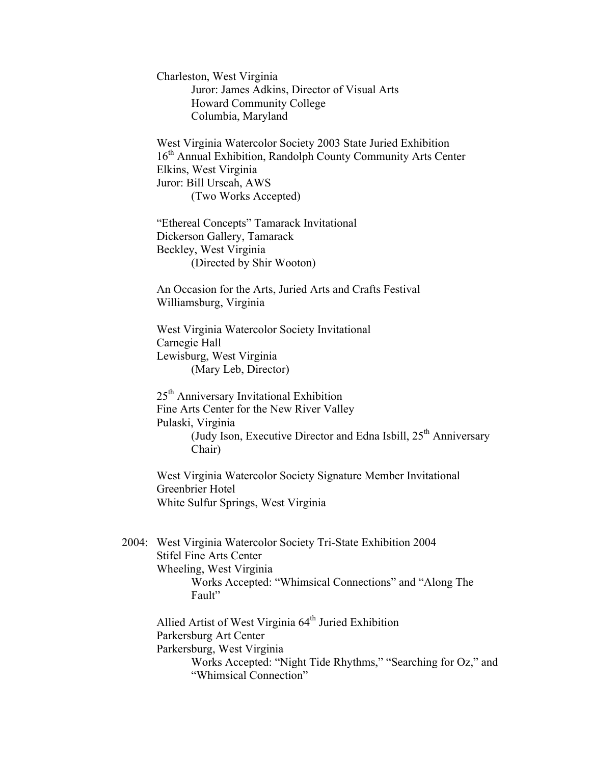Charleston, West Virginia Juror: James Adkins, Director of Visual Arts Howard Community College Columbia, Maryland

West Virginia Watercolor Society 2003 State Juried Exhibition 16<sup>th</sup> Annual Exhibition, Randolph County Community Arts Center Elkins, West Virginia Juror: Bill Urscah, AWS (Two Works Accepted)

"Ethereal Concepts" Tamarack Invitational Dickerson Gallery, Tamarack Beckley, West Virginia (Directed by Shir Wooton)

An Occasion for the Arts, Juried Arts and Crafts Festival Williamsburg, Virginia

West Virginia Watercolor Society Invitational Carnegie Hall Lewisburg, West Virginia (Mary Leb, Director)

25th Anniversary Invitational Exhibition Fine Arts Center for the New River Valley Pulaski, Virginia (Judy Ison, Executive Director and Edna Isbill,  $25<sup>th</sup>$  Anniversary Chair)

West Virginia Watercolor Society Signature Member Invitational Greenbrier Hotel White Sulfur Springs, West Virginia

2004: West Virginia Watercolor Society Tri-State Exhibition 2004 Stifel Fine Arts Center Wheeling, West Virginia Works Accepted: "Whimsical Connections" and "Along The Fault"

Allied Artist of West Virginia 64<sup>th</sup> Juried Exhibition Parkersburg Art Center Parkersburg, West Virginia Works Accepted: "Night Tide Rhythms," "Searching for Oz," and "Whimsical Connection"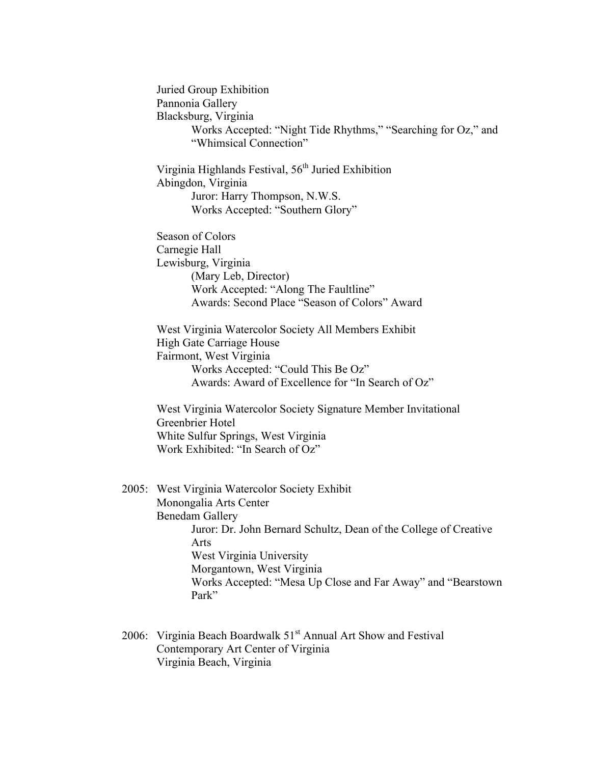Juried Group Exhibition Pannonia Gallery Blacksburg, Virginia Works Accepted: "Night Tide Rhythms," "Searching for Oz," and "Whimsical Connection" Virginia Highlands Festival, 56<sup>th</sup> Juried Exhibition Abingdon, Virginia Juror: Harry Thompson, N.W.S. Works Accepted: "Southern Glory" Season of Colors Carnegie Hall Lewisburg, Virginia (Mary Leb, Director) Work Accepted: "Along The Faultline" Awards: Second Place "Season of Colors" Award West Virginia Watercolor Society All Members Exhibit High Gate Carriage House Fairmont, West Virginia Works Accepted: "Could This Be Oz" Awards: Award of Excellence for "In Search of Oz" West Virginia Watercolor Society Signature Member Invitational Greenbrier Hotel White Sulfur Springs, West Virginia Work Exhibited: "In Search of Oz" 2005: West Virginia Watercolor Society Exhibit Monongalia Arts Center Benedam Gallery Juror: Dr. John Bernard Schultz, Dean of the College of Creative Arts West Virginia University Morgantown, West Virginia Works Accepted: "Mesa Up Close and Far Away" and "Bearstown Park"

2006: Virginia Beach Boardwalk  $51<sup>st</sup>$  Annual Art Show and Festival Contemporary Art Center of Virginia Virginia Beach, Virginia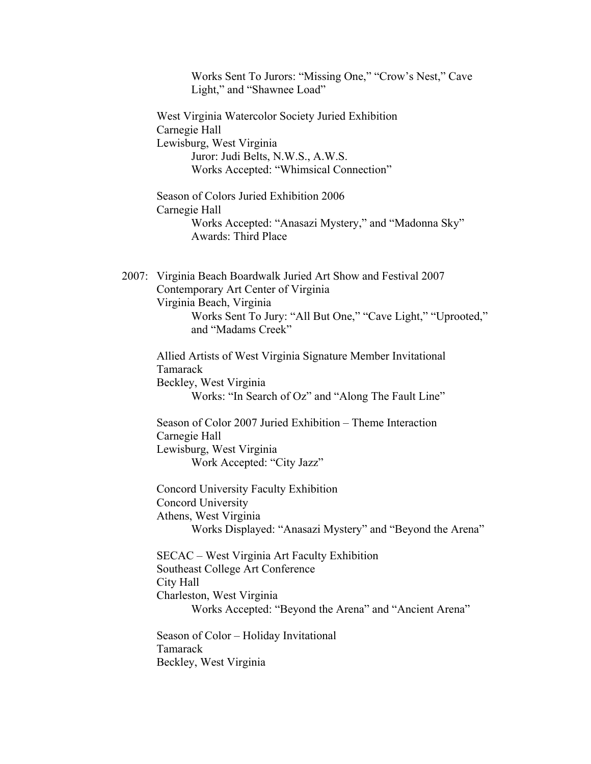| Works Sent To Jurors: "Missing One," "Crow's Nest," Cave<br>Light," and "Shawnee Load"                                                                                                                                    |
|---------------------------------------------------------------------------------------------------------------------------------------------------------------------------------------------------------------------------|
| West Virginia Watercolor Society Juried Exhibition<br>Carnegie Hall<br>Lewisburg, West Virginia<br>Juror: Judi Belts, N.W.S., A.W.S.<br>Works Accepted: "Whimsical Connection"                                            |
| Season of Colors Juried Exhibition 2006<br>Carnegie Hall<br>Works Accepted: "Anasazi Mystery," and "Madonna Sky"<br><b>Awards: Third Place</b>                                                                            |
| 2007: Virginia Beach Boardwalk Juried Art Show and Festival 2007<br>Contemporary Art Center of Virginia<br>Virginia Beach, Virginia<br>Works Sent To Jury: "All But One," "Cave Light," "Uprooted,"<br>and "Madams Creek" |
| Allied Artists of West Virginia Signature Member Invitational<br>Tamarack<br>Beckley, West Virginia<br>Works: "In Search of Oz" and "Along The Fault Line"                                                                |
| Season of Color 2007 Juried Exhibition – Theme Interaction<br>Carnegie Hall<br>Lewisburg, West Virginia<br>Work Accepted: "City Jazz"                                                                                     |
| Concord University Faculty Exhibition<br>Concord University<br>Athens, West Virginia<br>Works Displayed: "Anasazi Mystery" and "Beyond the Arena"                                                                         |
| SECAC – West Virginia Art Faculty Exhibition<br>Southeast College Art Conference<br>City Hall<br>Charleston, West Virginia<br>Works Accepted: "Beyond the Arena" and "Ancient Arena"                                      |
| Season of Color – Holiday Invitational<br>Tamarack<br>Beckley, West Virginia                                                                                                                                              |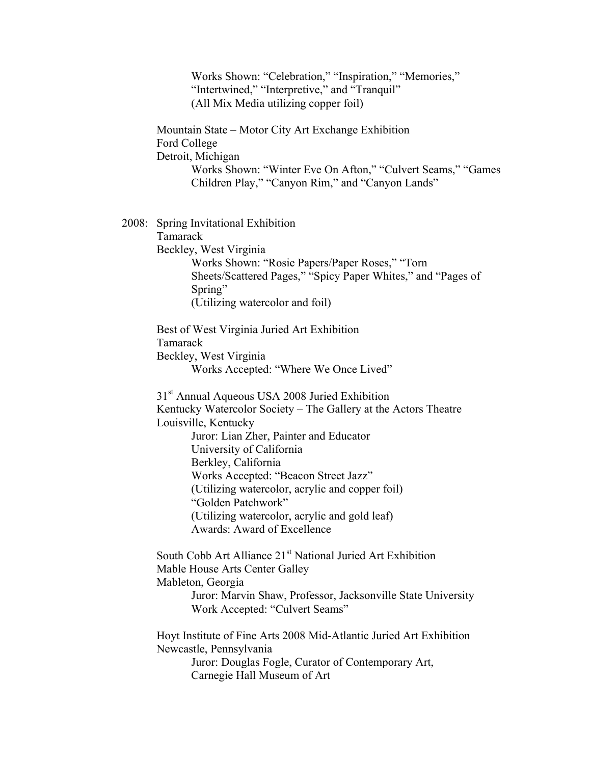Works Shown: "Celebration," "Inspiration," "Memories," "Intertwined," "Interpretive," and "Tranquil" (All Mix Media utilizing copper foil) Mountain State – Motor City Art Exchange Exhibition Ford College Detroit, Michigan Works Shown: "Winter Eve On Afton," "Culvert Seams," "Games Children Play," "Canyon Rim," and "Canyon Lands" 2008: Spring Invitational Exhibition Tamarack Beckley, West Virginia Works Shown: "Rosie Papers/Paper Roses," "Torn Sheets/Scattered Pages," "Spicy Paper Whites," and "Pages of Spring" (Utilizing watercolor and foil) Best of West Virginia Juried Art Exhibition Tamarack Beckley, West Virginia Works Accepted: "Where We Once Lived" 31<sup>st</sup> Annual Aqueous USA 2008 Juried Exhibition Kentucky Watercolor Society – The Gallery at the Actors Theatre Louisville, Kentucky Juror: Lian Zher, Painter and Educator University of California Berkley, California Works Accepted: "Beacon Street Jazz" (Utilizing watercolor, acrylic and copper foil) "Golden Patchwork" (Utilizing watercolor, acrylic and gold leaf) Awards: Award of Excellence South Cobb Art Alliance 21<sup>st</sup> National Juried Art Exhibition Mable House Arts Center Galley Mableton, Georgia Juror: Marvin Shaw, Professor, Jacksonville State University Work Accepted: "Culvert Seams" Hoyt Institute of Fine Arts 2008 Mid-Atlantic Juried Art Exhibition Newcastle, Pennsylvania Juror: Douglas Fogle, Curator of Contemporary Art, Carnegie Hall Museum of Art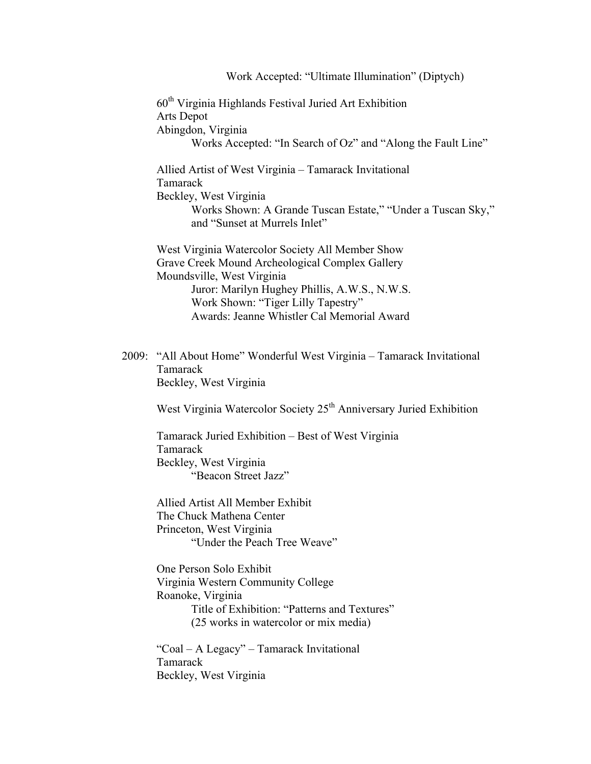Work Accepted: "Ultimate Illumination" (Diptych) 60th Virginia Highlands Festival Juried Art Exhibition Arts Depot Abingdon, Virginia Works Accepted: "In Search of Oz" and "Along the Fault Line" Allied Artist of West Virginia – Tamarack Invitational Tamarack Beckley, West Virginia Works Shown: A Grande Tuscan Estate," "Under a Tuscan Sky," and "Sunset at Murrels Inlet" West Virginia Watercolor Society All Member Show Grave Creek Mound Archeological Complex Gallery Moundsville, West Virginia Juror: Marilyn Hughey Phillis, A.W.S., N.W.S. Work Shown: "Tiger Lilly Tapestry" Awards: Jeanne Whistler Cal Memorial Award 2009: "All About Home" Wonderful West Virginia – Tamarack Invitational Tamarack Beckley, West Virginia

West Virginia Watercolor Society  $25<sup>th</sup>$  Anniversary Juried Exhibition

Tamarack Juried Exhibition – Best of West Virginia Tamarack Beckley, West Virginia "Beacon Street Jazz"

Allied Artist All Member Exhibit The Chuck Mathena Center Princeton, West Virginia "Under the Peach Tree Weave"

One Person Solo Exhibit Virginia Western Community College Roanoke, Virginia Title of Exhibition: "Patterns and Textures" (25 works in watercolor or mix media)

"Coal – A Legacy" – Tamarack Invitational Tamarack Beckley, West Virginia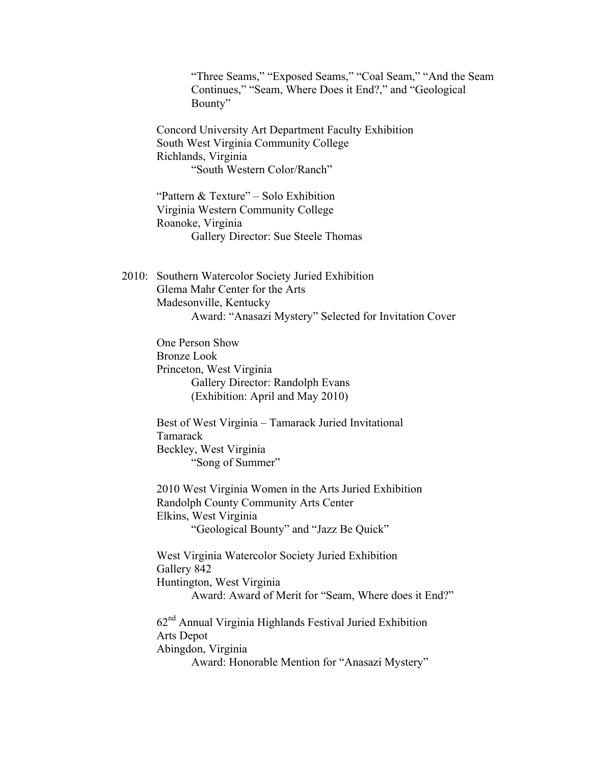"Three Seams," "Exposed Seams," "Coal Seam," "And the Seam Continues," "Seam, Where Does it End?," and "Geological Bounty"

Concord University Art Department Faculty Exhibition South West Virginia Community College Richlands, Virginia "South Western Color/Ranch"

"Pattern & Texture" – Solo Exhibition Virginia Western Community College Roanoke, Virginia Gallery Director: Sue Steele Thomas

2010: Southern Watercolor Society Juried Exhibition Glema Mahr Center for the Arts Madesonville, Kentucky Award: "Anasazi Mystery" Selected for Invitation Cover

> One Person Show Bronze Look Princeton, West Virginia Gallery Director: Randolph Evans (Exhibition: April and May 2010)

Best of West Virginia – Tamarack Juried Invitational Tamarack Beckley, West Virginia "Song of Summer"

2010 West Virginia Women in the Arts Juried Exhibition Randolph County Community Arts Center Elkins, West Virginia

"Geological Bounty" and "Jazz Be Quick"

West Virginia Watercolor Society Juried Exhibition Gallery 842 Huntington, West Virginia Award: Award of Merit for "Seam, Where does it End?" 62nd Annual Virginia Highlands Festival Juried Exhibition

Arts Depot Abingdon, Virginia Award: Honorable Mention for "Anasazi Mystery"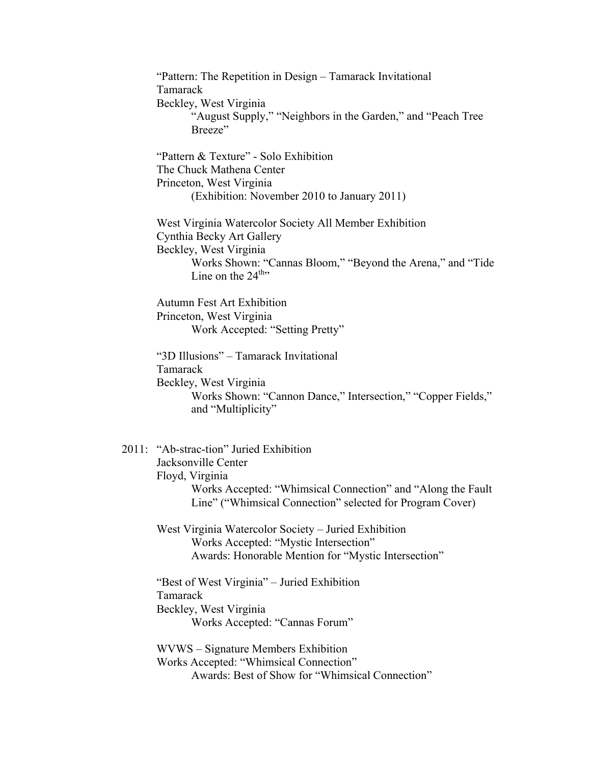"Pattern: The Repetition in Design – Tamarack Invitational Tamarack Beckley, West Virginia "August Supply," "Neighbors in the Garden," and "Peach Tree Breeze" "Pattern & Texture" - Solo Exhibition The Chuck Mathena Center Princeton, West Virginia (Exhibition: November 2010 to January 2011) West Virginia Watercolor Society All Member Exhibition Cynthia Becky Art Gallery Beckley, West Virginia Works Shown: "Cannas Bloom," "Beyond the Arena," and "Tide Line on the  $24^{\text{th}}$ Autumn Fest Art Exhibition Princeton, West Virginia Work Accepted: "Setting Pretty" "3D Illusions" – Tamarack Invitational Tamarack Beckley, West Virginia Works Shown: "Cannon Dance," Intersection," "Copper Fields," and "Multiplicity" 2011: "Ab-strac-tion" Juried Exhibition Jacksonville Center Floyd, Virginia Works Accepted: "Whimsical Connection" and "Along the Fault Line" ("Whimsical Connection" selected for Program Cover) West Virginia Watercolor Society – Juried Exhibition Works Accepted: "Mystic Intersection" Awards: Honorable Mention for "Mystic Intersection" "Best of West Virginia" – Juried Exhibition Tamarack Beckley, West Virginia Works Accepted: "Cannas Forum" WVWS – Signature Members Exhibition Works Accepted: "Whimsical Connection"

Awards: Best of Show for "Whimsical Connection"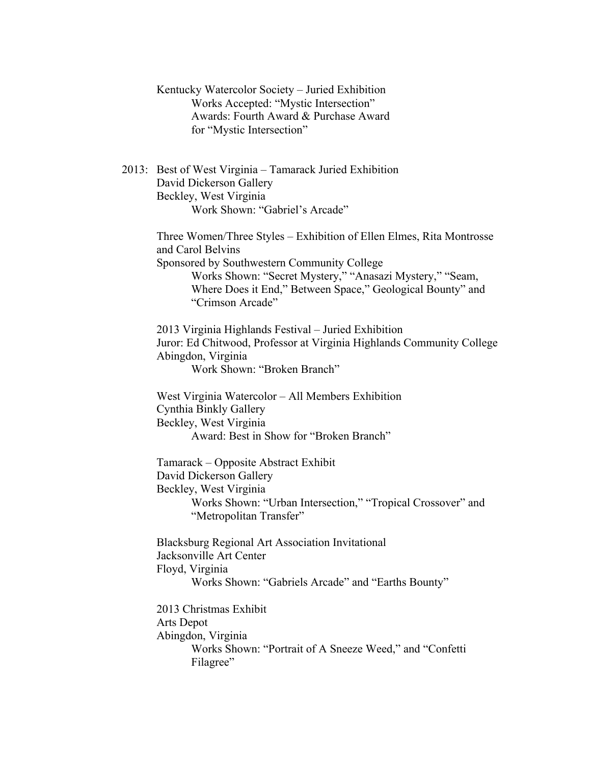Kentucky Watercolor Society – Juried Exhibition Works Accepted: "Mystic Intersection" Awards: Fourth Award & Purchase Award for "Mystic Intersection" 2013: Best of West Virginia – Tamarack Juried Exhibition David Dickerson Gallery Beckley, West Virginia Work Shown: "Gabriel's Arcade" Three Women/Three Styles – Exhibition of Ellen Elmes, Rita Montrosse and Carol Belvins Sponsored by Southwestern Community College Works Shown: "Secret Mystery," "Anasazi Mystery," "Seam, Where Does it End," Between Space," Geological Bounty" and "Crimson Arcade" 2013 Virginia Highlands Festival – Juried Exhibition Juror: Ed Chitwood, Professor at Virginia Highlands Community College Abingdon, Virginia Work Shown: "Broken Branch" West Virginia Watercolor – All Members Exhibition Cynthia Binkly Gallery Beckley, West Virginia Award: Best in Show for "Broken Branch" Tamarack – Opposite Abstract Exhibit David Dickerson Gallery Beckley, West Virginia Works Shown: "Urban Intersection," "Tropical Crossover" and "Metropolitan Transfer" Blacksburg Regional Art Association Invitational Jacksonville Art Center Floyd, Virginia Works Shown: "Gabriels Arcade" and "Earths Bounty" 2013 Christmas Exhibit Arts Depot Abingdon, Virginia Works Shown: "Portrait of A Sneeze Weed," and "Confetti Filagree"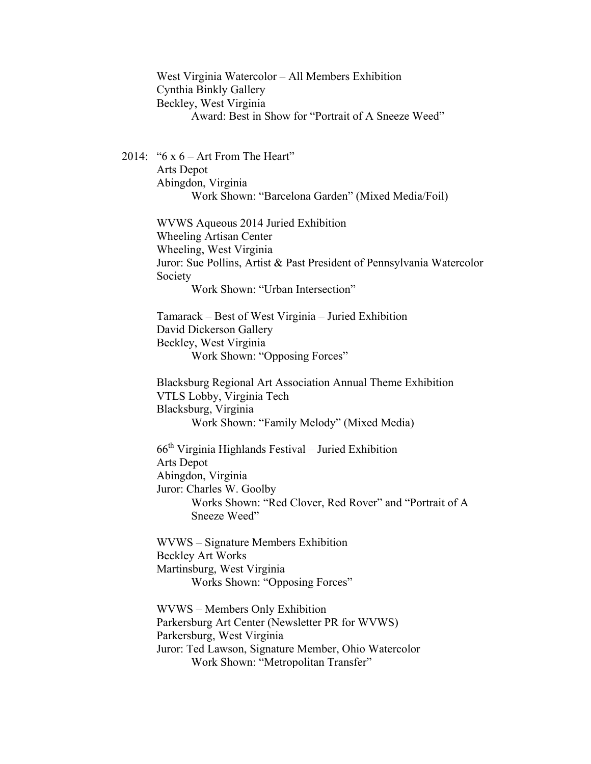West Virginia Watercolor – All Members Exhibition Cynthia Binkly Gallery Beckley, West Virginia Award: Best in Show for "Portrait of A Sneeze Weed"

2014: " $6 \times 6$  – Art From The Heart" Arts Depot Abingdon, Virginia Work Shown: "Barcelona Garden" (Mixed Media/Foil)

> WVWS Aqueous 2014 Juried Exhibition Wheeling Artisan Center Wheeling, West Virginia Juror: Sue Pollins, Artist & Past President of Pennsylvania Watercolor Society

Work Shown: "Urban Intersection"

Tamarack – Best of West Virginia – Juried Exhibition David Dickerson Gallery Beckley, West Virginia Work Shown: "Opposing Forces"

Blacksburg Regional Art Association Annual Theme Exhibition VTLS Lobby, Virginia Tech Blacksburg, Virginia Work Shown: "Family Melody" (Mixed Media)

 $66<sup>th</sup> Virginia$  Highlands Festival – Juried Exhibition Arts Depot Abingdon, Virginia Juror: Charles W. Goolby Works Shown: "Red Clover, Red Rover" and "Portrait of A Sneeze Weed"

WVWS – Signature Members Exhibition Beckley Art Works Martinsburg, West Virginia Works Shown: "Opposing Forces"

WVWS – Members Only Exhibition Parkersburg Art Center (Newsletter PR for WVWS) Parkersburg, West Virginia Juror: Ted Lawson, Signature Member, Ohio Watercolor Work Shown: "Metropolitan Transfer"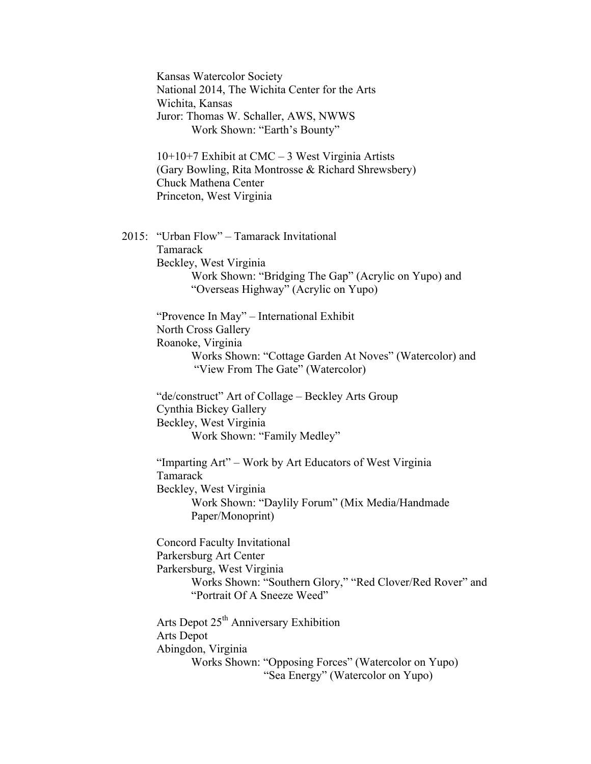Kansas Watercolor Society National 2014, The Wichita Center for the Arts Wichita, Kansas Juror: Thomas W. Schaller, AWS, NWWS Work Shown: "Earth's Bounty" 10+10+7 Exhibit at CMC – 3 West Virginia Artists (Gary Bowling, Rita Montrosse & Richard Shrewsbery) Chuck Mathena Center Princeton, West Virginia 2015: "Urban Flow" – Tamarack Invitational Tamarack Beckley, West Virginia Work Shown: "Bridging The Gap" (Acrylic on Yupo) and "Overseas Highway" (Acrylic on Yupo) "Provence In May" – International Exhibit North Cross Gallery Roanoke, Virginia Works Shown: "Cottage Garden At Noves" (Watercolor) and "View From The Gate" (Watercolor) "de/construct" Art of Collage – Beckley Arts Group Cynthia Bickey Gallery Beckley, West Virginia Work Shown: "Family Medley" "Imparting Art" – Work by Art Educators of West Virginia Tamarack Beckley, West Virginia Work Shown: "Daylily Forum" (Mix Media/Handmade Paper/Monoprint) Concord Faculty Invitational Parkersburg Art Center Parkersburg, West Virginia Works Shown: "Southern Glory," "Red Clover/Red Rover" and "Portrait Of A Sneeze Weed" Arts Depot  $25<sup>th</sup>$  Anniversary Exhibition Arts Depot Abingdon, Virginia Works Shown: "Opposing Forces" (Watercolor on Yupo) "Sea Energy" (Watercolor on Yupo)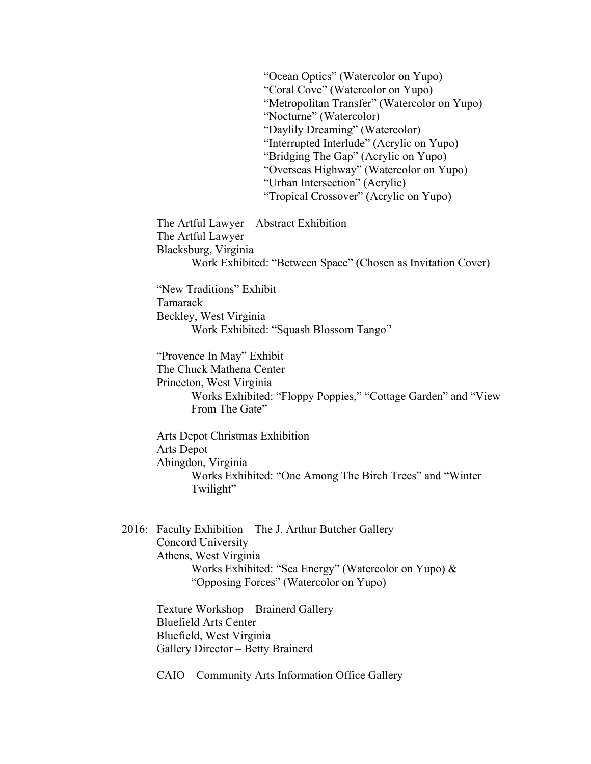"Ocean Optics" (Watercolor on Yupo) "Coral Cove" (Watercolor on Yupo) "Metropolitan Transfer" (Watercolor on Yupo) "Nocturne" (Watercolor) "Daylily Dreaming" (Watercolor) "Interrupted Interlude" (Acrylic on Yupo) "Bridging The Gap" (Acrylic on Yupo) "Overseas Highway" (Watercolor on Yupo) "Urban Intersection" (Acrylic) "Tropical Crossover" (Acrylic on Yupo)

The Artful Lawyer – Abstract Exhibition The Artful Lawyer Blacksburg, Virginia Work Exhibited: "Between Space" (Chosen as Invitation Cover)

"New Traditions" Exhibit Tamarack Beckley, West Virginia Work Exhibited: "Squash Blossom Tango"

"Provence In May" Exhibit The Chuck Mathena Center Princeton, West Virginia Works Exhibited: "Floppy Poppies," "Cottage Garden" and "View From The Gate"

Arts Depot Christmas Exhibition Arts Depot Abingdon, Virginia Works Exhibited: "One Among The Birch Trees" and "Winter Twilight"

2016: Faculty Exhibition – The J. Arthur Butcher Gallery Concord University Athens, West Virginia Works Exhibited: "Sea Energy" (Watercolor on Yupo) & "Opposing Forces" (Watercolor on Yupo)

> Texture Workshop – Brainerd Gallery Bluefield Arts Center Bluefield, West Virginia Gallery Director – Betty Brainerd

CAIO – Community Arts Information Office Gallery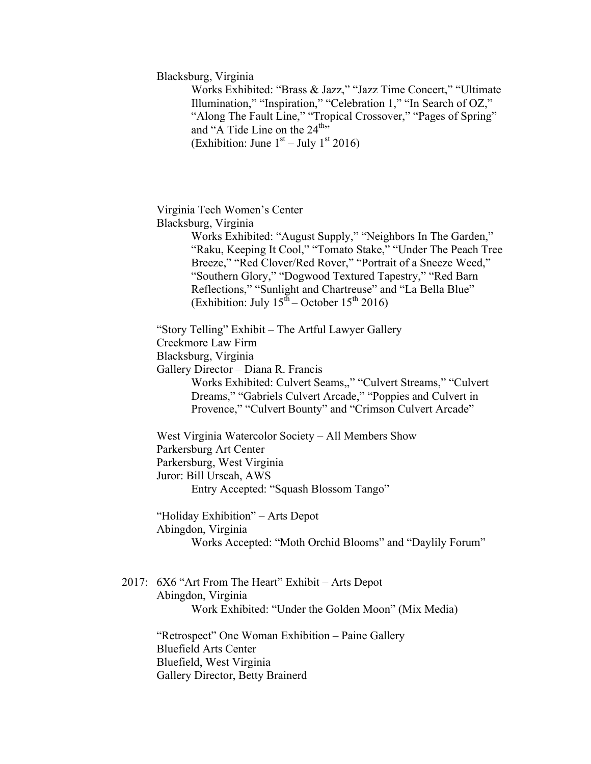Blacksburg, Virginia

Works Exhibited: "Brass & Jazz," "Jazz Time Concert," "Ultimate Illumination," "Inspiration," "Celebration 1," "In Search of OZ," "Along The Fault Line," "Tropical Crossover," "Pages of Spring" and "A Tide Line on the  $24^{\text{th}}$ " (Exhibition: June  $1<sup>st</sup> - July 1<sup>st</sup> 2016$ )

Virginia Tech Women's Center Blacksburg, Virginia

> Works Exhibited: "August Supply," "Neighbors In The Garden," "Raku, Keeping It Cool," "Tomato Stake," "Under The Peach Tree Breeze," "Red Clover/Red Rover," "Portrait of a Sneeze Weed," "Southern Glory," "Dogwood Textured Tapestry," "Red Barn Reflections," "Sunlight and Chartreuse" and "La Bella Blue" (Exhibition: July  $15^{\text{th}}$  – October  $15^{\text{th}}$  2016)

"Story Telling" Exhibit – The Artful Lawyer Gallery

Creekmore Law Firm

Blacksburg, Virginia

Gallery Director – Diana R. Francis

Works Exhibited: Culvert Seams,," "Culvert Streams," "Culvert Dreams," "Gabriels Culvert Arcade," "Poppies and Culvert in Provence," "Culvert Bounty" and "Crimson Culvert Arcade"

West Virginia Watercolor Society – All Members Show Parkersburg Art Center Parkersburg, West Virginia Juror: Bill Urscah, AWS Entry Accepted: "Squash Blossom Tango"

"Holiday Exhibition" – Arts Depot

Abingdon, Virginia

Works Accepted: "Moth Orchid Blooms" and "Daylily Forum"

2017: 6X6 "Art From The Heart" Exhibit – Arts Depot Abingdon, Virginia Work Exhibited: "Under the Golden Moon" (Mix Media)

"Retrospect" One Woman Exhibition – Paine Gallery Bluefield Arts Center Bluefield, West Virginia Gallery Director, Betty Brainerd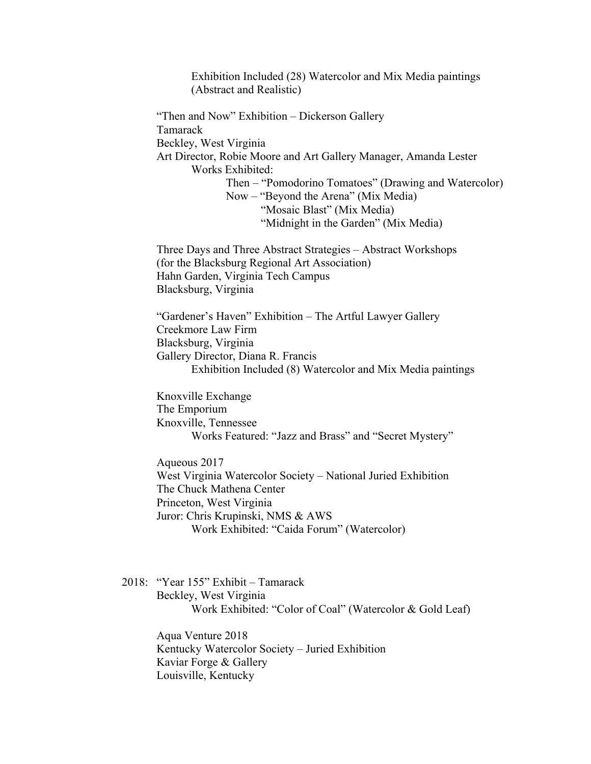Exhibition Included (28) Watercolor and Mix Media paintings (Abstract and Realistic)

"Then and Now" Exhibition – Dickerson Gallery Tamarack Beckley, West Virginia Art Director, Robie Moore and Art Gallery Manager, Amanda Lester Works Exhibited: Then – "Pomodorino Tomatoes" (Drawing and Watercolor) Now – "Beyond the Arena" (Mix Media) "Mosaic Blast" (Mix Media) "Midnight in the Garden" (Mix Media)

Three Days and Three Abstract Strategies – Abstract Workshops (for the Blacksburg Regional Art Association) Hahn Garden, Virginia Tech Campus Blacksburg, Virginia

"Gardener's Haven" Exhibition – The Artful Lawyer Gallery Creekmore Law Firm Blacksburg, Virginia Gallery Director, Diana R. Francis Exhibition Included (8) Watercolor and Mix Media paintings

Knoxville Exchange The Emporium Knoxville, Tennessee Works Featured: "Jazz and Brass" and "Secret Mystery"

Aqueous 2017 West Virginia Watercolor Society – National Juried Exhibition The Chuck Mathena Center Princeton, West Virginia Juror: Chris Krupinski, NMS & AWS Work Exhibited: "Caida Forum" (Watercolor)

2018: "Year 155" Exhibit – Tamarack Beckley, West Virginia Work Exhibited: "Color of Coal" (Watercolor & Gold Leaf)

> Aqua Venture 2018 Kentucky Watercolor Society – Juried Exhibition Kaviar Forge & Gallery Louisville, Kentucky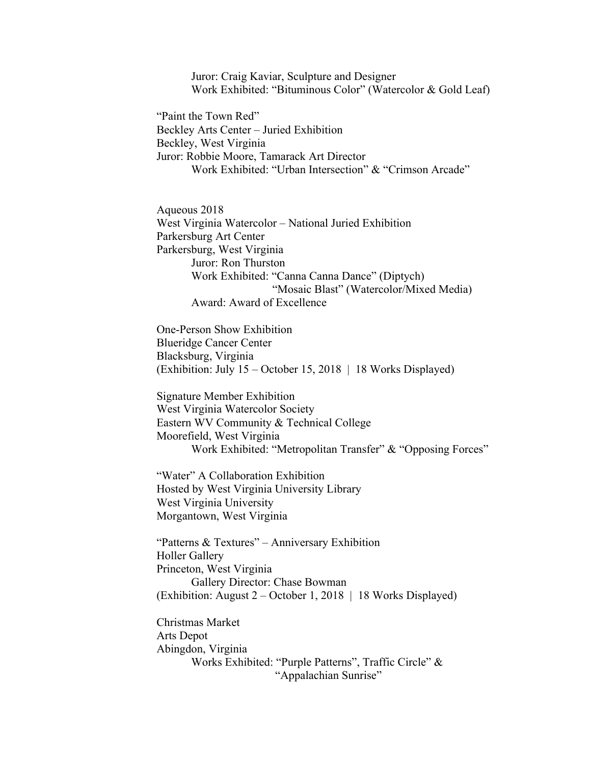Juror: Craig Kaviar, Sculpture and Designer Work Exhibited: "Bituminous Color" (Watercolor & Gold Leaf)

"Paint the Town Red" Beckley Arts Center – Juried Exhibition Beckley, West Virginia Juror: Robbie Moore, Tamarack Art Director Work Exhibited: "Urban Intersection" & "Crimson Arcade"

Aqueous 2018 West Virginia Watercolor – National Juried Exhibition Parkersburg Art Center Parkersburg, West Virginia Juror: Ron Thurston Work Exhibited: "Canna Canna Dance" (Diptych) "Mosaic Blast" (Watercolor/Mixed Media) Award: Award of Excellence

One-Person Show Exhibition Blueridge Cancer Center Blacksburg, Virginia (Exhibition: July 15 – October 15, 2018 | 18 Works Displayed)

Signature Member Exhibition West Virginia Watercolor Society Eastern WV Community & Technical College Moorefield, West Virginia Work Exhibited: "Metropolitan Transfer" & "Opposing Forces"

"Water" A Collaboration Exhibition Hosted by West Virginia University Library West Virginia University Morgantown, West Virginia

"Patterns & Textures" – Anniversary Exhibition Holler Gallery Princeton, West Virginia Gallery Director: Chase Bowman (Exhibition: August 2 – October 1, 2018 | 18 Works Displayed)

Christmas Market Arts Depot Abingdon, Virginia Works Exhibited: "Purple Patterns", Traffic Circle" & "Appalachian Sunrise"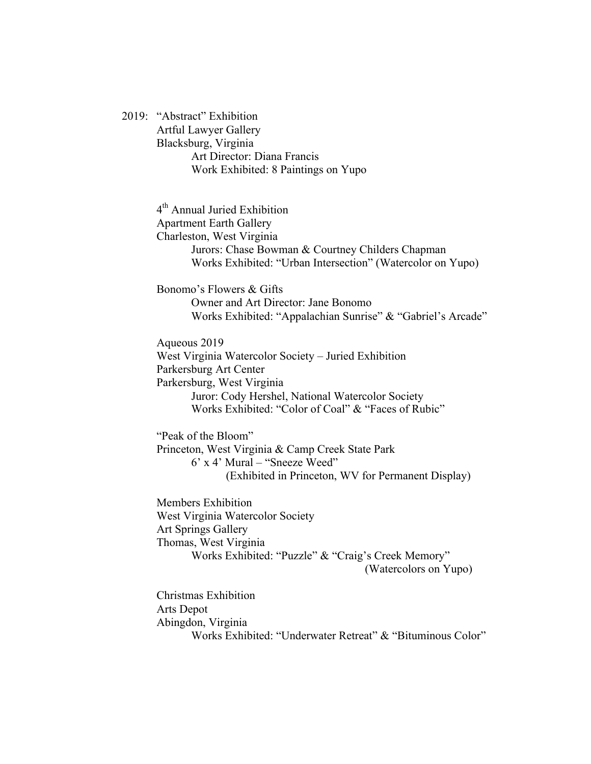2019: "Abstract" Exhibition Artful Lawyer Gallery Blacksburg, Virginia Art Director: Diana Francis Work Exhibited: 8 Paintings on Yupo

> 4<sup>th</sup> Annual Juried Exhibition Apartment Earth Gallery Charleston, West Virginia Jurors: Chase Bowman & Courtney Childers Chapman Works Exhibited: "Urban Intersection" (Watercolor on Yupo)

Bonomo's Flowers & Gifts Owner and Art Director: Jane Bonomo Works Exhibited: "Appalachian Sunrise" & "Gabriel's Arcade"

Aqueous 2019

West Virginia Watercolor Society – Juried Exhibition Parkersburg Art Center Parkersburg, West Virginia Juror: Cody Hershel, National Watercolor Society Works Exhibited: "Color of Coal" & "Faces of Rubic"

"Peak of the Bloom" Princeton, West Virginia & Camp Creek State Park 6' x 4' Mural – "Sneeze Weed" (Exhibited in Princeton, WV for Permanent Display)

Members Exhibition West Virginia Watercolor Society Art Springs Gallery Thomas, West Virginia Works Exhibited: "Puzzle" & "Craig's Creek Memory"

(Watercolors on Yupo)

Christmas Exhibition Arts Depot Abingdon, Virginia Works Exhibited: "Underwater Retreat" & "Bituminous Color"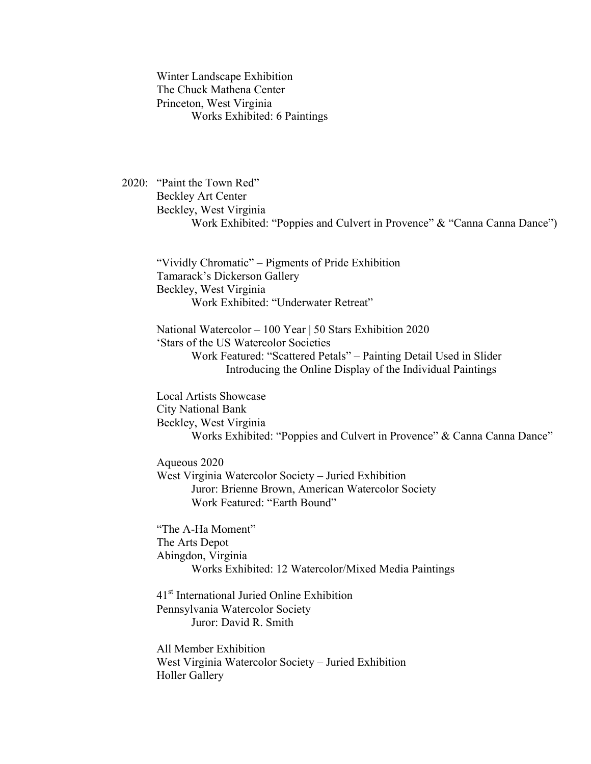Winter Landscape Exhibition The Chuck Mathena Center Princeton, West Virginia Works Exhibited: 6 Paintings

2020: "Paint the Town Red" Beckley Art Center Beckley, West Virginia Work Exhibited: "Poppies and Culvert in Provence" & "Canna Canna Dance")

"Vividly Chromatic" – Pigments of Pride Exhibition Tamarack's Dickerson Gallery Beckley, West Virginia Work Exhibited: "Underwater Retreat"

National Watercolor – 100 Year | 50 Stars Exhibition 2020 'Stars of the US Watercolor Societies Work Featured: "Scattered Petals" – Painting Detail Used in Slider Introducing the Online Display of the Individual Paintings

Local Artists Showcase City National Bank Beckley, West Virginia Works Exhibited: "Poppies and Culvert in Provence" & Canna Canna Dance"

Aqueous 2020 West Virginia Watercolor Society – Juried Exhibition Juror: Brienne Brown, American Watercolor Society Work Featured: "Earth Bound"

"The A-Ha Moment" The Arts Depot Abingdon, Virginia Works Exhibited: 12 Watercolor/Mixed Media Paintings

41st International Juried Online Exhibition Pennsylvania Watercolor Society Juror: David R. Smith

All Member Exhibition West Virginia Watercolor Society – Juried Exhibition Holler Gallery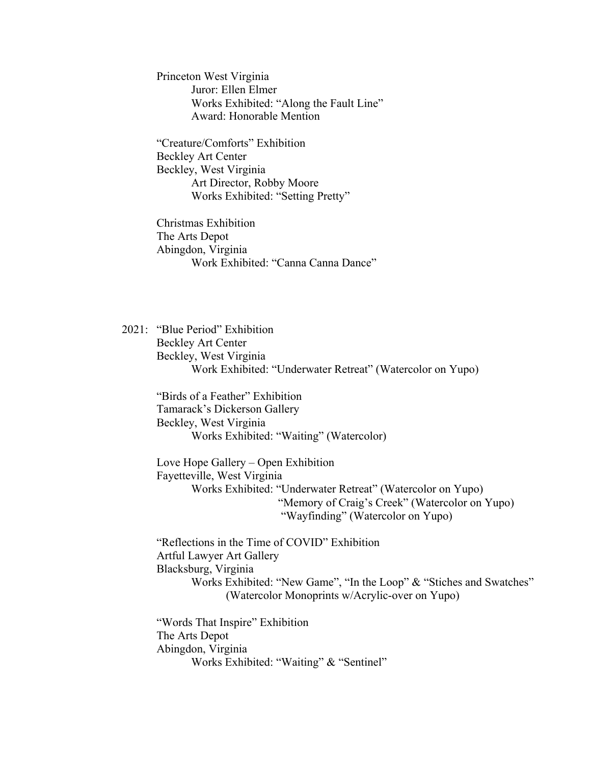Princeton West Virginia Juror: Ellen Elmer Works Exhibited: "Along the Fault Line" Award: Honorable Mention

"Creature/Comforts" Exhibition Beckley Art Center Beckley, West Virginia Art Director, Robby Moore Works Exhibited: "Setting Pretty"

Christmas Exhibition The Arts Depot Abingdon, Virginia Work Exhibited: "Canna Canna Dance"

2021: "Blue Period" Exhibition Beckley Art Center Beckley, West Virginia Work Exhibited: "Underwater Retreat" (Watercolor on Yupo)

"Birds of a Feather" Exhibition Tamarack's Dickerson Gallery Beckley, West Virginia Works Exhibited: "Waiting" (Watercolor)

Love Hope Gallery – Open Exhibition Fayetteville, West Virginia Works Exhibited: "Underwater Retreat" (Watercolor on Yupo) "Memory of Craig's Creek" (Watercolor on Yupo) "Wayfinding" (Watercolor on Yupo)

"Reflections in the Time of COVID" Exhibition Artful Lawyer Art Gallery Blacksburg, Virginia Works Exhibited: "New Game", "In the Loop" & "Stiches and Swatches" (Watercolor Monoprints w/Acrylic-over on Yupo)

"Words That Inspire" Exhibition The Arts Depot Abingdon, Virginia Works Exhibited: "Waiting" & "Sentinel"